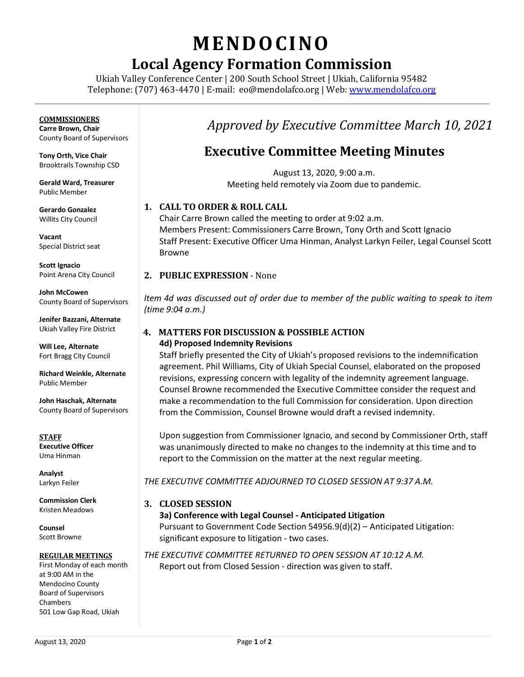# **MENDO CINO**

## **Local Agency Formation Commission**

Ukiah Valley Conference Center | 200 South School Street | Ukiah, California 95482 Telephone: (707) 463-4470 | E-mail: [eo@mendolafco.org](mailto:eo@mendolafco.org) | Web[: www.mendolafco.org](http://www.mendolafco.org/)

#### **COMMISSIONERS**

**Carre Brown, Chair** County Board of Supervisors

**Tony Orth, Vice Chair** Brooktrails Township CSD

**Gerald Ward, Treasurer** Public Member

**Gerardo Gonzalez** Willits City Council

**Vacant** Special District seat

**Scott Ignacio** Point Arena City Council

**John McCowen** County Board of Supervisors

**Jenifer Bazzani, Alternate** Ukiah Valley Fire District

**Will Lee, Alternate** Fort Bragg City Council

**Richard Weinkle, Alternate** Public Member

**John Haschak, Alternate** County Board of Supervisors

**STAFF Executive Officer** Uma Hinman

**Analyst** Larkyn Feiler

**Commission Clerk** Kristen Meadows

**Counsel** Scott Browne

#### **REGULAR MEETINGS**

First Monday of each month at 9:00 AM in the Mendocino County Board of Supervisors Chambers 501 Low Gap Road, Ukiah

### *Approved by Executive Committee March 10, 2021*

### **Executive Committee Meeting Minutes**

August 13, 2020, 9:00 a.m. Meeting held remotely via Zoom due to pandemic.

#### **1. CALL TO ORDER & ROLL CALL**

Chair Carre Brown called the meeting to order at 9:02 a.m. Members Present: Commissioners Carre Brown, Tony Orth and Scott Ignacio Staff Present: Executive Officer Uma Hinman, Analyst Larkyn Feiler, Legal Counsel Scott Browne

#### **2. PUBLIC EXPRESSION** - None

*Item 4d was discussed out of order due to member of the public waiting to speak to item (time 9:04 a.m.)*

#### **4. MATTERS FOR DISCUSSION & POSSIBLE ACTION 4d) Proposed Indemnity Revisions**

Staff briefly presented the City of Ukiah's proposed revisions to the indemnification agreement. Phil Williams, City of Ukiah Special Counsel, elaborated on the proposed revisions, expressing concern with legality of the indemnity agreement language. Counsel Browne recommended the Executive Committee consider the request and make a recommendation to the full Commission for consideration. Upon direction from the Commission, Counsel Browne would draft a revised indemnity.

Upon suggestion from Commissioner Ignacio, and second by Commissioner Orth, staff was unanimously directed to make no changes to the indemnity at this time and to report to the Commission on the matter at the next regular meeting.

*THE EXECUTIVE COMMITTEE ADJOURNED TO CLOSED SESSION AT 9:37 A.M.*

**3. CLOSED SESSION**

**3a) Conference with Legal Counsel - Anticipated Litigation** Pursuant to Government Code Section 54956.9(d)(2) – Anticipated Litigation: significant exposure to litigation - two cases.

*THE EXECUTIVE COMMITTEE RETURNED TO OPEN SESSION AT 10:12 A.M.* Report out from Closed Session - direction was given to staff.